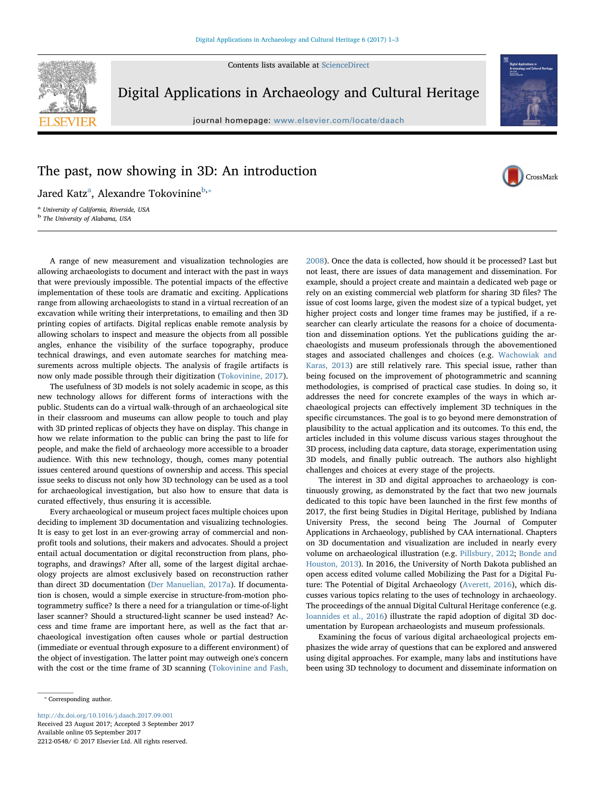Contents lists available at [ScienceDirect](http://www.sciencedirect.com/science/journal/22120548)



Digital Applications in Archaeology and Cultural Heritage

journal homepage: [www.elsevier.com/locate/daach](http://www.elsevier.com/locate/daach)



The past, now showing in 3D: An introduction J[a](#page-0-0)red Katz<sup>a</sup>, Alexandre Tokovinine<sup>[b,](#page-0-1)</sup>\*

CrossMark

<span id="page-0-1"></span><span id="page-0-0"></span><sup>a</sup> University of California, Riverside, USA b The University of Alabama, USA

A range of new measurement and visualization technologies are allowing archaeologists to document and interact with the past in ways that were previously impossible. The potential impacts of the effective implementation of these tools are dramatic and exciting. Applications range from allowing archaeologists to stand in a virtual recreation of an excavation while writing their interpretations, to emailing and then 3D printing copies of artifacts. Digital replicas enable remote analysis by allowing scholars to inspect and measure the objects from all possible angles, enhance the visibility of the surface topography, produce technical drawings, and even automate searches for matching measurements across multiple objects. The analysis of fragile artifacts is now only made possible through their digitization [\(Tokovinine, 2017](#page-2-0)).

The usefulness of 3D models is not solely academic in scope, as this new technology allows for different forms of interactions with the public. Students can do a virtual walk-through of an archaeological site in their classroom and museums can allow people to touch and play with 3D printed replicas of objects they have on display. This change in how we relate information to the public can bring the past to life for people, and make the field of archaeology more accessible to a broader audience. With this new technology, though, comes many potential issues centered around questions of ownership and access. This special issue seeks to discuss not only how 3D technology can be used as a tool for archaeological investigation, but also how to ensure that data is curated effectively, thus ensuring it is accessible.

Every archaeological or museum project faces multiple choices upon deciding to implement 3D documentation and visualizing technologies. It is easy to get lost in an ever-growing array of commercial and nonprofit tools and solutions, their makers and advocates. Should a project entail actual documentation or digital reconstruction from plans, photographs, and drawings? After all, some of the largest digital archaeology projects are almost exclusively based on reconstruction rather than direct 3D documentation [\(Der Manuelian, 2017a\)](#page-2-1). If documentation is chosen, would a simple exercise in structure-from-motion photogrammetry suffice? Is there a need for a triangulation or time-of-light laser scanner? Should a structured-light scanner be used instead? Access and time frame are important here, as well as the fact that archaeological investigation often causes whole or partial destruction (immediate or eventual through exposure to a different environment) of the object of investigation. The latter point may outweigh one's concern with the cost or the time frame of 3D scanning [\(Tokovinine and Fash,](#page-2-2)

<http://dx.doi.org/10.1016/j.daach.2017.09.001> Received 23 August 2017; Accepted 3 September 2017 Available online 05 September 2017 2212-0548/ © 2017 Elsevier Ltd. All rights reserved.

[2008\)](#page-2-2). Once the data is collected, how should it be processed? Last but not least, there are issues of data management and dissemination. For example, should a project create and maintain a dedicated web page or rely on an existing commercial web platform for sharing 3D files? The issue of cost looms large, given the modest size of a typical budget, yet higher project costs and longer time frames may be justified, if a researcher can clearly articulate the reasons for a choice of documentation and dissemination options. Yet the publications guiding the archaeologists and museum professionals through the abovementioned stages and associated challenges and choices (e.g. [Wachowiak and](#page-2-3) [Karas, 2013](#page-2-3)) are still relatively rare. This special issue, rather than being focused on the improvement of photogrammetric and scanning methodologies, is comprised of practical case studies. In doing so, it addresses the need for concrete examples of the ways in which archaeological projects can effectively implement 3D techniques in the specific circumstances. The goal is to go beyond mere demonstration of plausibility to the actual application and its outcomes. To this end, the articles included in this volume discuss various stages throughout the 3D process, including data capture, data storage, experimentation using 3D models, and finally public outreach. The authors also highlight challenges and choices at every stage of the projects.

The interest in 3D and digital approaches to archaeology is continuously growing, as demonstrated by the fact that two new journals dedicated to this topic have been launched in the first few months of 2017, the first being Studies in Digital Heritage, published by Indiana University Press, the second being The Journal of Computer Applications in Archaeology, published by CAA international. Chapters on 3D documentation and visualization are included in nearly every volume on archaeological illustration (e.g. [Pillsbury, 2012;](#page-2-4) [Bonde and](#page-2-5) [Houston, 2013\)](#page-2-5). In 2016, the University of North Dakota published an open access edited volume called Mobilizing the Past for a Digital Future: The Potential of Digital Archaeology [\(Averett, 2016](#page-2-6)), which discusses various topics relating to the uses of technology in archaeology. The proceedings of the annual Digital Cultural Heritage conference (e.g. [Ioannides et al., 2016\)](#page-2-7) illustrate the rapid adoption of digital 3D documentation by European archaeologists and museum professionals.

Examining the focus of various digital archaeological projects emphasizes the wide array of questions that can be explored and answered using digital approaches. For example, many labs and institutions have been using 3D technology to document and disseminate information on

<span id="page-0-2"></span><sup>⁎</sup> Corresponding author.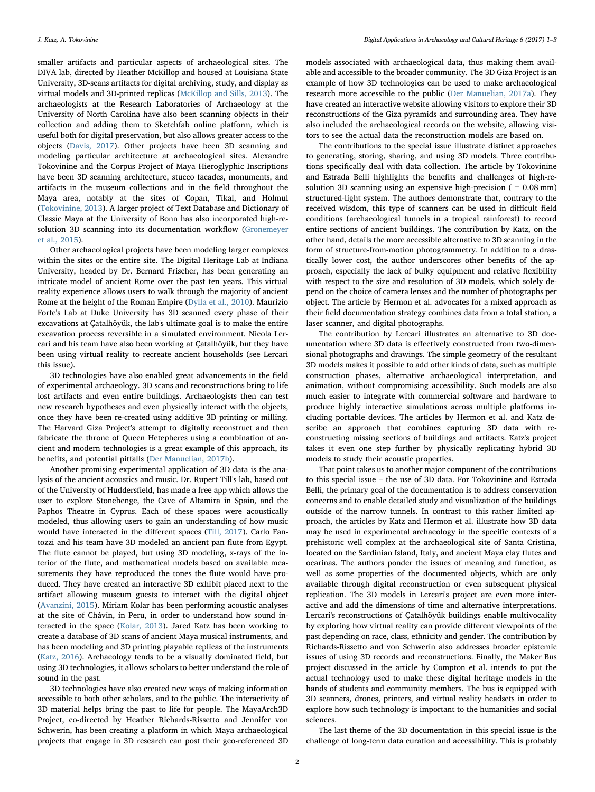smaller artifacts and particular aspects of archaeological sites. The DIVA lab, directed by Heather McKillop and housed at Louisiana State University, 3D-scans artifacts for digital archiving, study, and display as virtual models and 3D-printed replicas [\(McKillop and Sills, 2013\)](#page-2-8). The archaeologists at the Research Laboratories of Archaeology at the University of North Carolina have also been scanning objects in their collection and adding them to Sketchfab online platform, which is useful both for digital preservation, but also allows greater access to the objects ([Davis, 2017](#page-2-9)). Other projects have been 3D scanning and modeling particular architecture at archaeological sites. Alexandre Tokovinine and the Corpus Project of Maya Hieroglyphic Inscriptions have been 3D scanning architecture, stucco facades, monuments, and artifacts in the museum collections and in the field throughout the Maya area, notably at the sites of Copan, Tikal, and Holmul ([Tokovinine, 2013\)](#page-2-10). A larger project of Text Database and Dictionary of Classic Maya at the University of Bonn has also incorporated high-resolution 3D scanning into its documentation workflow [\(Gronemeyer](#page-2-11) [et al., 2015](#page-2-11)).

Other archaeological projects have been modeling larger complexes within the sites or the entire site. The Digital Heritage Lab at Indiana University, headed by Dr. Bernard Frischer, has been generating an intricate model of ancient Rome over the past ten years. This virtual reality experience allows users to walk through the majority of ancient Rome at the height of the Roman Empire [\(Dylla et al., 2010\)](#page-2-12). Maurizio Forte's Lab at Duke University has 3D scanned every phase of their excavations at Çatalhöyük, the lab's ultimate goal is to make the entire excavation process reversible in a simulated environment. Nicola Lercari and his team have also been working at Çatalhöyük, but they have been using virtual reality to recreate ancient households (see Lercari this issue).

3D technologies have also enabled great advancements in the field of experimental archaeology. 3D scans and reconstructions bring to life lost artifacts and even entire buildings. Archaeologists then can test new research hypotheses and even physically interact with the objects, once they have been re-created using additive 3D printing or milling. The Harvard Giza Project's attempt to digitally reconstruct and then fabricate the throne of Queen Hetepheres using a combination of ancient and modern technologies is a great example of this approach, its benefits, and potential pitfalls ([Der Manuelian, 2017b\)](#page-2-13).

Another promising experimental application of 3D data is the analysis of the ancient acoustics and music. Dr. Rupert Till's lab, based out of the University of Huddersfield, has made a free app which allows the user to explore Stonehenge, the Cave of Altamira in Spain, and the Paphos Theatre in Cyprus. Each of these spaces were acoustically modeled, thus allowing users to gain an understanding of how music would have interacted in the different spaces ([Till, 2017\)](#page-2-14). Carlo Fantozzi and his team have 3D modeled an ancient pan flute from Egypt. The flute cannot be played, but using 3D modeling, x-rays of the interior of the flute, and mathematical models based on available measurements they have reproduced the tones the flute would have produced. They have created an interactive 3D exhibit placed next to the artifact allowing museum guests to interact with the digital object ([Avanzini, 2015\)](#page-2-15). Miriam Kolar has been performing acoustic analyses at the site of Chávin, in Peru, in order to understand how sound interacted in the space [\(Kolar, 2013](#page-2-16)). Jared Katz has been working to create a database of 3D scans of ancient Maya musical instruments, and has been modeling and 3D printing playable replicas of the instruments ([Katz, 2016](#page-2-17)). Archaeology tends to be a visually dominated field, but using 3D technologies, it allows scholars to better understand the role of sound in the past.

3D technologies have also created new ways of making information accessible to both other scholars, and to the public. The interactivity of 3D material helps bring the past to life for people. The MayaArch3D Project, co-directed by Heather Richards-Rissetto and Jennifer von Schwerin, has been creating a platform in which Maya archaeological projects that engage in 3D research can post their geo-referenced 3D models associated with archaeological data, thus making them available and accessible to the broader community. The 3D Giza Project is an example of how 3D technologies can be used to make archaeological research more accessible to the public [\(Der Manuelian, 2017a\)](#page-2-1). They have created an interactive website allowing visitors to explore their 3D reconstructions of the Giza pyramids and surrounding area. They have also included the archaeological records on the website, allowing visitors to see the actual data the reconstruction models are based on.

The contributions to the special issue illustrate distinct approaches to generating, storing, sharing, and using 3D models. Three contributions specifically deal with data collection. The article by Tokovinine and Estrada Belli highlights the benefits and challenges of high-resolution 3D scanning using an expensive high-precision  $( \pm 0.08 \text{ mm})$ structured-light system. The authors demonstrate that, contrary to the received wisdom, this type of scanners can be used in difficult field conditions (archaeological tunnels in a tropical rainforest) to record entire sections of ancient buildings. The contribution by Katz, on the other hand, details the more accessible alternative to 3D scanning in the form of structure-from-motion photogrammetry. In addition to a drastically lower cost, the author underscores other benefits of the approach, especially the lack of bulky equipment and relative flexibility with respect to the size and resolution of 3D models, which solely depend on the choice of camera lenses and the number of photographs per object. The article by Hermon et al. advocates for a mixed approach as their field documentation strategy combines data from a total station, a laser scanner, and digital photographs.

The contribution by Lercari illustrates an alternative to 3D documentation where 3D data is effectively constructed from two-dimensional photographs and drawings. The simple geometry of the resultant 3D models makes it possible to add other kinds of data, such as multiple construction phases, alternative archaeological interpretation, and animation, without compromising accessibility. Such models are also much easier to integrate with commercial software and hardware to produce highly interactive simulations across multiple platforms including portable devices. The articles by Hermon et al. and Katz describe an approach that combines capturing 3D data with reconstructing missing sections of buildings and artifacts. Katz's project takes it even one step further by physically replicating hybrid 3D models to study their acoustic properties.

That point takes us to another major component of the contributions to this special issue – the use of 3D data. For Tokovinine and Estrada Belli, the primary goal of the documentation is to address conservation concerns and to enable detailed study and visualization of the buildings outside of the narrow tunnels. In contrast to this rather limited approach, the articles by Katz and Hermon et al. illustrate how 3D data may be used in experimental archaeology in the specific contexts of a prehistoric well complex at the archaeological site of Santa Cristina, located on the Sardinian Island, Italy, and ancient Maya clay flutes and ocarinas. The authors ponder the issues of meaning and function, as well as some properties of the documented objects, which are only available through digital reconstruction or even subsequent physical replication. The 3D models in Lercari's project are even more interactive and add the dimensions of time and alternative interpretations. Lercari's reconstructions of Çatalhöyük buildings enable multivocality by exploring how virtual reality can provide different viewpoints of the past depending on race, class, ethnicity and gender. The contribution by Richards-Rissetto and von Schwerin also addresses broader epistemic issues of using 3D records and reconstructions. Finally, the Maker Bus project discussed in the article by Compton et al. intends to put the actual technology used to make these digital heritage models in the hands of students and community members. The bus is equipped with 3D scanners, drones, printers, and virtual reality headsets in order to explore how such technology is important to the humanities and social sciences.

The last theme of the 3D documentation in this special issue is the challenge of long-term data curation and accessibility. This is probably